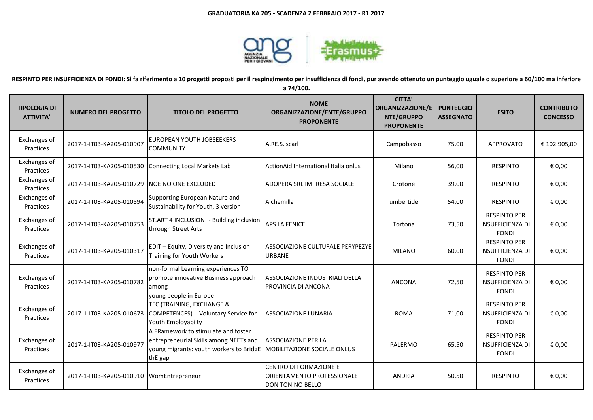

**RESPINTO PER INSUFFICIENZA DI FONDI: Si fa riferimento a 10 progetti proposti per il respingimento per insufficienza di fondi, pur avendo ottenuto un punteggio uguale o superiore a 60/100 ma inferiore** 

**a 74/100.**

| <b>TIPOLOGIA DI</b><br><b>ATTIVITA'</b> | <b>NUMERO DEL PROGETTO</b>                     | <b>TITOLO DEL PROGETTO</b>                                                                                                          | <b>NOME</b><br>ORGANIZZAZIONE/ENTE/GRUPPO<br><b>PROPONENTE</b>                         | <b>CITTA'</b><br><b>ORGANIZZAZIONE/E</b><br>NTE/GRUPPO<br><b>PROPONENTE</b> | <b>PUNTEGGIO</b><br><b>ASSEGNATO</b> | <b>ESITO</b>                                                   | <b>CONTRIBUTO</b><br><b>CONCESSO</b> |
|-----------------------------------------|------------------------------------------------|-------------------------------------------------------------------------------------------------------------------------------------|----------------------------------------------------------------------------------------|-----------------------------------------------------------------------------|--------------------------------------|----------------------------------------------------------------|--------------------------------------|
| Exchanges of<br>Practices               | 2017-1-IT03-KA205-010907                       | EUROPEAN YOUTH JOBSEEKERS<br><b>COMMUNITY</b>                                                                                       | A.RE.S. scarl                                                                          | Campobasso                                                                  | 75,00                                | <b>APPROVATO</b>                                               | € 102.905,00                         |
| Exchanges of<br>Practices               |                                                | 2017-1-IT03-KA205-010530 Connecting Local Markets Lab                                                                               | ActionAid International Italia onlus                                                   | Milano                                                                      | 56,00                                | <b>RESPINTO</b>                                                | € 0,00                               |
| Exchanges of<br>Practices               | 2017-1-IT03-KA205-010729   NOE NO ONE EXCLUDED |                                                                                                                                     | ADOPERA SRL IMPRESA SOCIALE                                                            | Crotone                                                                     | 39,00                                | <b>RESPINTO</b>                                                | € 0,00                               |
| Exchanges of<br>Practices               | 2017-1-IT03-KA205-010594                       | Supporting European Nature and<br>Sustainability for Youth, 3 version                                                               | Alchemilla                                                                             | umbertide                                                                   | 54,00                                | <b>RESPINTO</b>                                                | € 0,00                               |
| Exchanges of<br>Practices               | 2017-1-IT03-KA205-010753                       | ST.ART 4 INCLUSION! - Building inclusion<br>through Street Arts                                                                     | <b>APS LA FENICE</b>                                                                   | Tortona                                                                     | 73,50                                | <b>RESPINTO PER</b><br><b>INSUFFICIENZA DI</b><br><b>FONDI</b> | € 0,00                               |
| Exchanges of<br>Practices               | 2017-1-IT03-KA205-010317                       | EDIT - Equity, Diversity and Inclusion<br><b>Training for Youth Workers</b>                                                         | ASSOCIAZIONE CULTURALE PERYPEZYE<br><b>URBANE</b>                                      | <b>MILANO</b>                                                               | 60,00                                | <b>RESPINTO PER</b><br><b>INSUFFICIENZA DI</b><br><b>FONDI</b> | € 0,00                               |
| Exchanges of<br>Practices               | 2017-1-IT03-KA205-010782                       | non-formal Learning experiences TO<br>promote innovative Business approach<br>among<br>young people in Europe                       | ASSOCIAZIONE INDUSTRIALI DELLA<br>PROVINCIA DI ANCONA                                  | <b>ANCONA</b>                                                               | 72,50                                | <b>RESPINTO PER</b><br><b>INSUFFICIENZA DI</b><br><b>FONDI</b> | € 0,00                               |
| Exchanges of<br>Practices               | 2017-1-IT03-KA205-010673                       | TEC (TRAINING, EXCHANGE &<br>COMPETENCES) - Voluntary Service for<br>Youth Employabilty                                             | <b>ASSOCIAZIONE LUNARIA</b>                                                            | <b>ROMA</b>                                                                 | 71,00                                | <b>RESPINTO PER</b><br><b>INSUFFICIENZA DI</b><br><b>FONDI</b> | € 0,00                               |
| Exchanges of<br>Practices               | 2017-1-IT03-KA205-010977                       | A FRamework to stimulate and foster<br>entrepreneurial Skills among NEETs and<br>young migrants: youth workers to BridgE<br>thE gap | <b>ASSOCIAZIONE PER LA</b><br>MOBILITAZIONE SOCIALE ONLUS                              | PALERMO                                                                     | 65,50                                | <b>RESPINTO PER</b><br><b>INSUFFICIENZA DI</b><br><b>FONDI</b> | € 0.00                               |
| Exchanges of<br>Practices               | 2017-1-IT03-KA205-010910 WomEntrepreneur       |                                                                                                                                     | <b>CENTRO DI FORMAZIONE E</b><br>ORIENTAMENTO PROFESSIONALE<br><b>DON TONINO BELLO</b> | <b>ANDRIA</b>                                                               | 50,50                                | <b>RESPINTO</b>                                                | € 0,00                               |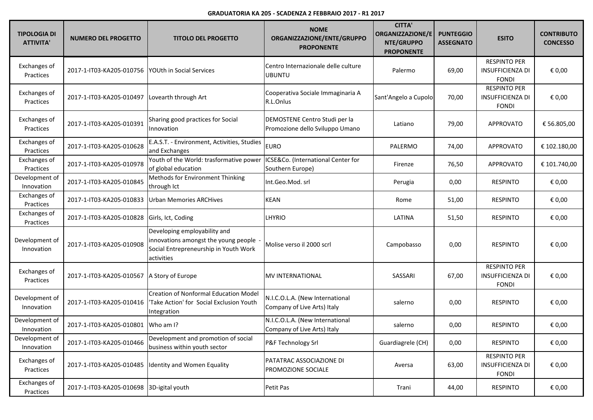## **GRADUATORIA KA 205 - SCADENZA 2 FEBBRAIO 2017 - R1 2017**

| <b>TIPOLOGIA DI</b><br><b>ATTIVITA'</b> | <b>NUMERO DEL PROGETTO</b>               | <b>TITOLO DEL PROGETTO</b>                                                                                                  | <b>NOME</b><br>ORGANIZZAZIONE/ENTE/GRUPPO<br><b>PROPONENTE</b>   | <b>CITTA'</b><br><b>ORGANIZZAZIONE/E</b><br>NTE/GRUPPO<br><b>PROPONENTE</b> | <b>PUNTEGGIO</b><br><b>ASSEGNATO</b> | <b>ESITO</b>                                                   | <b>CONTRIBUTO</b><br><b>CONCESSO</b> |
|-----------------------------------------|------------------------------------------|-----------------------------------------------------------------------------------------------------------------------------|------------------------------------------------------------------|-----------------------------------------------------------------------------|--------------------------------------|----------------------------------------------------------------|--------------------------------------|
| Exchanges of<br>Practices               | 2017-1-IT03-KA205-010756                 | <b>YOUth in Social Services</b>                                                                                             | Centro Internazionale delle culture<br><b>UBUNTU</b>             | Palermo                                                                     | 69,00                                | <b>RESPINTO PER</b><br><b>INSUFFICIENZA DI</b><br><b>FONDI</b> | € 0,00                               |
| Exchanges of<br>Practices               | 2017-1-IT03-KA205-010497                 | Lovearth through Art                                                                                                        | Cooperativa Sociale Immaginaria A<br>R.L.Onlus                   | Sant'Angelo a Cupolo                                                        | 70,00                                | <b>RESPINTO PER</b><br><b>INSUFFICIENZA DI</b><br><b>FONDI</b> | € 0,00                               |
| Exchanges of<br>Practices               | 2017-1-IT03-KA205-010391                 | Sharing good practices for Social<br>Innovation                                                                             | DEMOSTENE Centro Studi per la<br>Promozione dello Sviluppo Umano | Latiano                                                                     | 79,00                                | <b>APPROVATO</b>                                               | € 56.805,00                          |
| Exchanges of<br>Practices               | 2017-1-IT03-KA205-010628                 | E.A.S.T. - Environment, Activities, Studies<br>and Exchanges                                                                | <b>EURO</b>                                                      | PALERMO                                                                     | 74,00                                | <b>APPROVATO</b>                                               | € 102.180,00                         |
| Exchanges of<br>Practices               | 2017-1-IT03-KA205-010978                 | Youth of the World: trasformative power<br>of global education                                                              | ICSE&Co. (International Center for<br>Southern Europe)           | Firenze                                                                     | 76,50                                | <b>APPROVATO</b>                                               | € 101.740,00                         |
| Development of<br>Innovation            | 2017-1-IT03-KA205-010845                 | Methods for Environment Thinking<br>through Ict                                                                             | Int.Geo.Mod. srl                                                 | Perugia                                                                     | 0,00                                 | <b>RESPINTO</b>                                                | € 0,00                               |
| Exchanges of<br>Practices               | 2017-1-IT03-KA205-010833                 | <b>Urban Memories ARCHives</b>                                                                                              | <b>KEAN</b>                                                      | Rome                                                                        | 51,00                                | <b>RESPINTO</b>                                                | € 0,00                               |
| Exchanges of<br>Practices               | 2017-1-IT03-KA205-010828                 | Girls, Ict, Coding                                                                                                          | LHYRIO                                                           | LATINA                                                                      | 51,50                                | <b>RESPINTO</b>                                                | € 0,00                               |
| Development of<br>Innovation            | 2017-1-IT03-KA205-010908                 | Developing employability and<br>innovations amongst the young people<br>Social Entrepreneurship in Youth Work<br>activities | Molise verso il 2000 scrl                                        | Campobasso                                                                  | 0,00                                 | <b>RESPINTO</b>                                                | € 0,00                               |
| Exchanges of<br>Practices               | 2017-1-IT03-KA205-010567                 | A Story of Europe                                                                                                           | <b>MV INTERNATIONAL</b>                                          | SASSARI                                                                     | 67,00                                | <b>RESPINTO PER</b><br><b>INSUFFICIENZA DI</b><br><b>FONDI</b> | € 0,00                               |
| Development of<br>Innovation            | 2017-1-IT03-KA205-010416                 | <b>Creation of Nonformal Education Model</b><br>Take Action' for Social Exclusion Youth<br>Integration                      | N.I.C.O.L.A. (New International<br>Company of Live Arts) Italy   | salerno                                                                     | 0,00                                 | <b>RESPINTO</b>                                                | € 0,00                               |
| Development of<br>Innovation            | 2017-1-IT03-KA205-010801                 | Who am I?                                                                                                                   | N.I.C.O.L.A. (New International<br>Company of Live Arts) Italy   | salerno                                                                     | 0,00                                 | <b>RESPINTO</b>                                                | € 0,00                               |
| Development of<br>Innovation            | 2017-1-IT03-KA205-010466                 | Development and promotion of social<br>business within youth sector                                                         | P&F Technology Srl                                               | Guardiagrele (CH)                                                           | 0,00                                 | <b>RESPINTO</b>                                                | € 0,00                               |
| Exchanges of<br>Practices               |                                          | 2017-1-IT03-KA205-010485  Identity and Women Equality                                                                       | PATATRAC ASSOCIAZIONE DI<br>PROMOZIONE SOCIALE                   | Aversa                                                                      | 63,00                                | <b>RESPINTO PER</b><br><b>INSUFFICIENZA DI</b><br><b>FONDI</b> | € 0,00                               |
| Exchanges of<br>Practices               | 2017-1-IT03-KA205-010698 3D-igital youth |                                                                                                                             | Petit Pas                                                        | Trani                                                                       | 44,00                                | <b>RESPINTO</b>                                                | € 0,00                               |